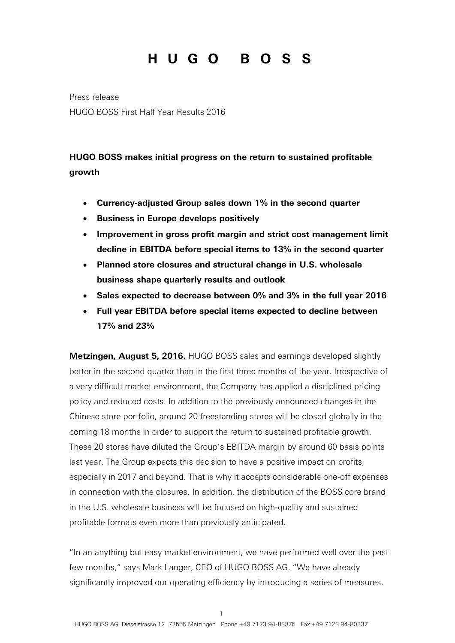Press release HUGO BOSS First Half Year Results 2016

### **HUGO BOSS makes initial progress on the return to sustained profitable growth**

- **Currency-adjusted Group sales down 1% in the second quarter**
- **Business in Europe develops positively**
- **Improvement in gross profit margin and strict cost management limit decline in EBITDA before special items to 13% in the second quarter**
- **Planned store closures and structural change in U.S. wholesale business shape quarterly results and outlook**
- **Sales expected to decrease between 0% and 3% in the full year 2016**
- **Full year EBITDA before special items expected to decline between 17% and 23%**

**Metzingen, August 5, 2016.** HUGO BOSS sales and earnings developed slightly better in the second quarter than in the first three months of the year. Irrespective of a very difficult market environment, the Company has applied a disciplined pricing policy and reduced costs. In addition to the previously announced changes in the Chinese store portfolio, around 20 freestanding stores will be closed globally in the coming 18 months in order to support the return to sustained profitable growth. These 20 stores have diluted the Group's EBITDA margin by around 60 basis points last year. The Group expects this decision to have a positive impact on profits, especially in 2017 and beyond. That is why it accepts considerable one-off expenses in connection with the closures. In addition, the distribution of the BOSS core brand in the U.S. wholesale business will be focused on high-quality and sustained profitable formats even more than previously anticipated.

"In an anything but easy market environment, we have performed well over the past few months," says Mark Langer, CEO of HUGO BOSS AG. "We have already significantly improved our operating efficiency by introducing a series of measures.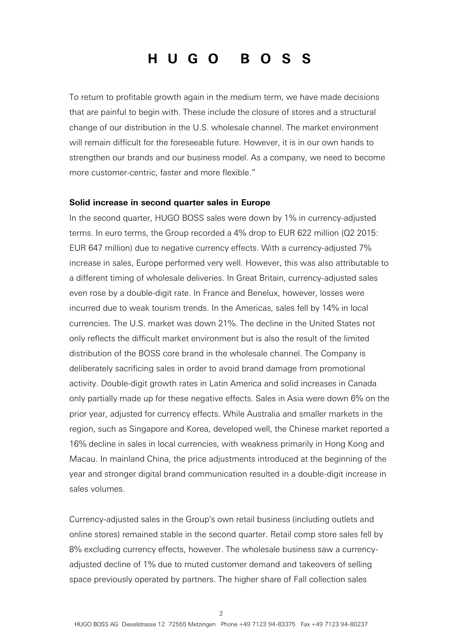To return to profitable growth again in the medium term, we have made decisions that are painful to begin with. These include the closure of stores and a structural change of our distribution in the U.S. wholesale channel. The market environment will remain difficult for the foreseeable future. However, it is in our own hands to strengthen our brands and our business model. As a company, we need to become more customer-centric, faster and more flexible."

#### **Solid increase in second quarter sales in Europe**

In the second quarter, HUGO BOSS sales were down by 1% in currency-adjusted terms. In euro terms, the Group recorded a 4% drop to EUR 622 million (Q2 2015: EUR 647 million) due to negative currency effects. With a currency-adjusted 7% increase in sales, Europe performed very well. However, this was also attributable to a different timing of wholesale deliveries. In Great Britain, currency-adjusted sales even rose by a double-digit rate. In France and Benelux, however, losses were incurred due to weak tourism trends. In the Americas, sales fell by 14% in local currencies. The U.S. market was down 21%. The decline in the United States not only reflects the difficult market environment but is also the result of the limited distribution of the BOSS core brand in the wholesale channel. The Company is deliberately sacrificing sales in order to avoid brand damage from promotional activity. Double-digit growth rates in Latin America and solid increases in Canada only partially made up for these negative effects. Sales in Asia were down 6% on the prior year, adjusted for currency effects. While Australia and smaller markets in the region, such as Singapore and Korea, developed well, the Chinese market reported a 16% decline in sales in local currencies, with weakness primarily in Hong Kong and Macau. In mainland China, the price adjustments introduced at the beginning of the year and stronger digital brand communication resulted in a double-digit increase in sales volumes.

Currency-adjusted sales in the Group's own retail business (including outlets and online stores) remained stable in the second quarter. Retail comp store sales fell by 8% excluding currency effects, however. The wholesale business saw a currencyadjusted decline of 1% due to muted customer demand and takeovers of selling space previously operated by partners. The higher share of Fall collection sales

 $\mathcal{L}$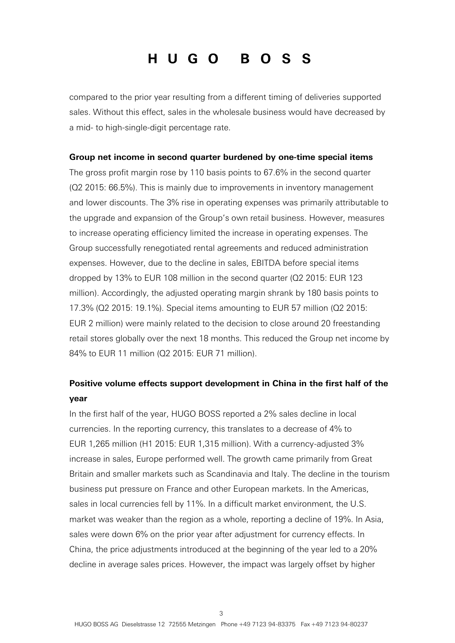compared to the prior year resulting from a different timing of deliveries supported sales. Without this effect, sales in the wholesale business would have decreased by a mid- to high-single-digit percentage rate.

#### **Group net income in second quarter burdened by one-time special items**

The gross profit margin rose by 110 basis points to 67.6% in the second quarter (Q2 2015: 66.5%). This is mainly due to improvements in inventory management and lower discounts. The 3% rise in operating expenses was primarily attributable to the upgrade and expansion of the Group's own retail business. However, measures to increase operating efficiency limited the increase in operating expenses. The Group successfully renegotiated rental agreements and reduced administration expenses. However, due to the decline in sales, EBITDA before special items dropped by 13% to EUR 108 million in the second quarter (Q2 2015: EUR 123 million). Accordingly, the adjusted operating margin shrank by 180 basis points to 17.3% (Q2 2015: 19.1%). Special items amounting to EUR 57 million (Q2 2015: EUR 2 million) were mainly related to the decision to close around 20 freestanding retail stores globally over the next 18 months. This reduced the Group net income by 84% to EUR 11 million (Q2 2015: EUR 71 million).

### **Positive volume effects support development in China in the first half of the year**

In the first half of the year, HUGO BOSS reported a 2% sales decline in local currencies. In the reporting currency, this translates to a decrease of 4% to EUR 1,265 million (H1 2015: EUR 1,315 million). With a currency-adjusted 3% increase in sales, Europe performed well. The growth came primarily from Great Britain and smaller markets such as Scandinavia and Italy. The decline in the tourism business put pressure on France and other European markets. In the Americas, sales in local currencies fell by 11%. In a difficult market environment, the U.S. market was weaker than the region as a whole, reporting a decline of 19%. In Asia, sales were down 6% on the prior year after adjustment for currency effects. In China, the price adjustments introduced at the beginning of the year led to a 20% decline in average sales prices. However, the impact was largely offset by higher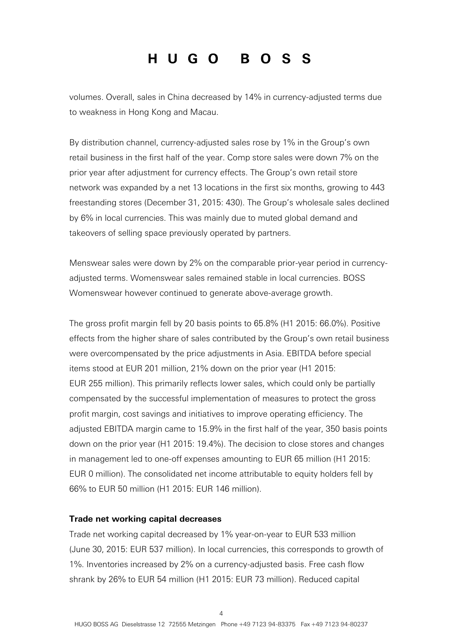volumes. Overall, sales in China decreased by 14% in currency-adjusted terms due to weakness in Hong Kong and Macau.

By distribution channel, currency-adjusted sales rose by 1% in the Group's own retail business in the first half of the year. Comp store sales were down 7% on the prior year after adjustment for currency effects. The Group's own retail store network was expanded by a net 13 locations in the first six months, growing to 443 freestanding stores (December 31, 2015: 430). The Group's wholesale sales declined by 6% in local currencies. This was mainly due to muted global demand and takeovers of selling space previously operated by partners.

Menswear sales were down by 2% on the comparable prior-year period in currencyadjusted terms. Womenswear sales remained stable in local currencies. BOSS Womenswear however continued to generate above-average growth.

The gross profit margin fell by 20 basis points to 65.8% (H1 2015: 66.0%). Positive effects from the higher share of sales contributed by the Group's own retail business were overcompensated by the price adjustments in Asia. EBITDA before special items stood at EUR 201 million, 21% down on the prior year (H1 2015: EUR 255 million). This primarily reflects lower sales, which could only be partially compensated by the successful implementation of measures to protect the gross profit margin, cost savings and initiatives to improve operating efficiency. The adjusted EBITDA margin came to 15.9% in the first half of the year, 350 basis points down on the prior year (H1 2015: 19.4%). The decision to close stores and changes in management led to one-off expenses amounting to EUR 65 million (H1 2015: EUR 0 million). The consolidated net income attributable to equity holders fell by 66% to EUR 50 million (H1 2015: EUR 146 million).

#### **Trade net working capital decreases**

Trade net working capital decreased by 1% year-on-year to EUR 533 million (June 30, 2015: EUR 537 million). In local currencies, this corresponds to growth of 1%. Inventories increased by 2% on a currency-adjusted basis. Free cash flow shrank by 26% to EUR 54 million (H1 2015: EUR 73 million). Reduced capital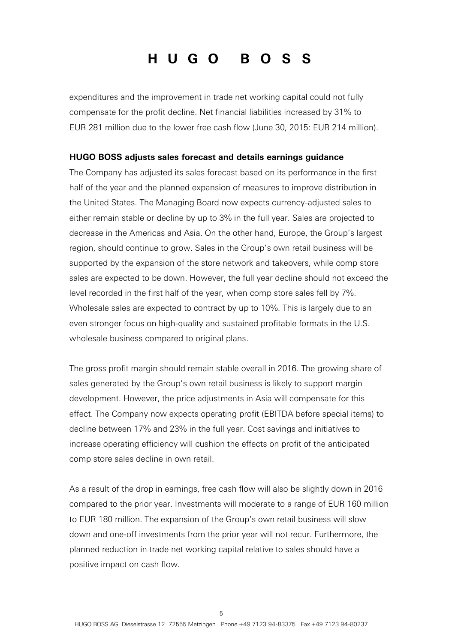expenditures and the improvement in trade net working capital could not fully compensate for the profit decline. Net financial liabilities increased by 31% to EUR 281 million due to the lower free cash flow (June 30, 2015: EUR 214 million).

#### **HUGO BOSS adjusts sales forecast and details earnings guidance**

The Company has adjusted its sales forecast based on its performance in the first half of the year and the planned expansion of measures to improve distribution in the United States. The Managing Board now expects currency-adjusted sales to either remain stable or decline by up to 3% in the full year. Sales are projected to decrease in the Americas and Asia. On the other hand, Europe, the Group's largest region, should continue to grow. Sales in the Group's own retail business will be supported by the expansion of the store network and takeovers, while comp store sales are expected to be down. However, the full year decline should not exceed the level recorded in the first half of the year, when comp store sales fell by 7%. Wholesale sales are expected to contract by up to 10%. This is largely due to an even stronger focus on high-quality and sustained profitable formats in the U.S. wholesale business compared to original plans.

The gross profit margin should remain stable overall in 2016. The growing share of sales generated by the Group's own retail business is likely to support margin development. However, the price adjustments in Asia will compensate for this effect. The Company now expects operating profit (EBITDA before special items) to decline between 17% and 23% in the full year. Cost savings and initiatives to increase operating efficiency will cushion the effects on profit of the anticipated comp store sales decline in own retail.

As a result of the drop in earnings, free cash flow will also be slightly down in 2016 compared to the prior year. Investments will moderate to a range of EUR 160 million to EUR 180 million. The expansion of the Group's own retail business will slow down and one-off investments from the prior year will not recur. Furthermore, the planned reduction in trade net working capital relative to sales should have a positive impact on cash flow.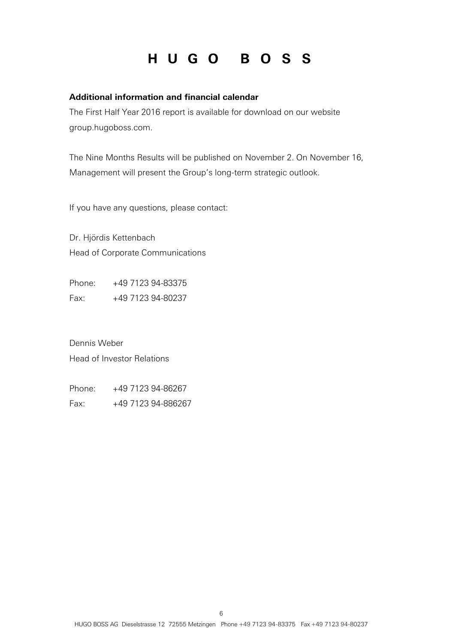#### **Additional information and financial calendar**

The First Half Year 2016 report is available for download on our website group.hugoboss.com.

The Nine Months Results will be published on November 2. On November 16, Management will present the Group's long-term strategic outlook.

If you have any questions, please contact:

Dr. Hjördis Kettenbach Head of Corporate Communications

Phone: +49 7123 94-83375 Fax: +49 7123 94-80237

Dennis Weber Head of Investor Relations

Phone: +49 7123 94-86267 Fax: +49 7123 94-886267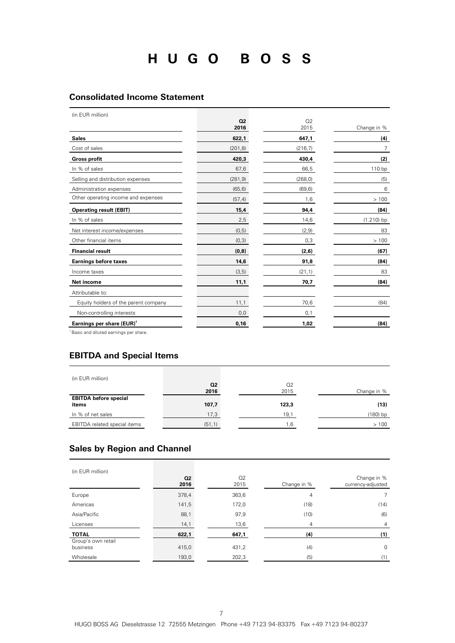#### **Consolidated Income Statement**

(in EUR million)

| \!!! LV!\!!!!!!!!V!!/                                                                                                                                    | Q <sub>2</sub><br>2016 | Q2<br>2015 | Change in %  |
|----------------------------------------------------------------------------------------------------------------------------------------------------------|------------------------|------------|--------------|
| <b>Sales</b>                                                                                                                                             | 622,1                  | 647,1      | (4)          |
| Cost of sales                                                                                                                                            | (201, 8)               | (216, 7)   | 7            |
| <b>Gross profit</b>                                                                                                                                      | 420,3                  | 430,4      | (2)          |
| In % of sales                                                                                                                                            | 67,6                   | 66,5       | 110 bp       |
| Selling and distribution expenses                                                                                                                        | (281, 9)               | (268, 0)   | (5)          |
| Administration expenses                                                                                                                                  | (65, 6)                | (69, 6)    | 6            |
| Other operating income and expenses                                                                                                                      | (57, 4)                | 1,6        | >100         |
| <b>Operating result (EBIT)</b>                                                                                                                           | 15,4                   | 94,4       | (84)         |
| In % of sales                                                                                                                                            | 2,5                    | 14,6       | $(1.210)$ bp |
| Net interest income/expenses                                                                                                                             | (0,5)                  | (2, 9)     | 83           |
| Other financial items                                                                                                                                    | (0,3)                  | 0,3        | >100         |
| <b>Financial result</b>                                                                                                                                  | (0,8)                  | (2,6)      | (67)         |
| <b>Earnings before taxes</b>                                                                                                                             | 14,6                   | 91,8       | (84)         |
| Income taxes                                                                                                                                             | (3,5)                  | (21, 1)    | 83           |
| Net income                                                                                                                                               | 11,1                   | 70,7       | (84)         |
| Attributable to:                                                                                                                                         |                        |            |              |
| Equity holders of the parent company                                                                                                                     | 11,1                   | 70,6       | (84)         |
| Non-controlling interests                                                                                                                                | 0,0                    | 0,1        |              |
| Earnings per share (EUR) <sup>1</sup><br>the contract of the contract of the contract of the contract of the contract of the contract of the contract of | 0,16                   | 1,02       | (84)         |

<sup>1</sup> Basic and diluted earnings per share.

### **EBITDA and Special Items**

| (in EUR million)                      |                |       |             |
|---------------------------------------|----------------|-------|-------------|
|                                       | Q <sub>2</sub> | O2    |             |
|                                       | 2016           | 2015  | Change in % |
| <b>EBITDA before special</b><br>items | 107,7          | 123,3 | (13)        |
| In % of net sales                     | 17,3           | 19,1  | (180) bp    |
|                                       |                |       |             |

### **Sales by Region and Channel**

| (in EUR million)               |                   |                        |             |                                  |
|--------------------------------|-------------------|------------------------|-------------|----------------------------------|
|                                | <b>Q2</b><br>2016 | Q <sub>2</sub><br>2015 | Change in % | Change in %<br>currency-adjusted |
| Europe                         | 378,4             | 363,6                  | 4           |                                  |
| Americas                       | 141,5             | 172,0                  | (18)        | (14)                             |
| Asia/Pacific                   | 88,1              | 97,9                   | (10)        | (6)                              |
| Licenses                       | 14,1              | 13,6                   | 4           | 4                                |
| <b>TOTAL</b>                   | 622,1             | 647,1                  | (4)         | (1)                              |
| Group's own retail<br>business | 415,0             | 431,2                  | (4)         | $\mathbf 0$                      |
| Wholesale                      | 193,0             | 202,3                  | (5)         | (1)                              |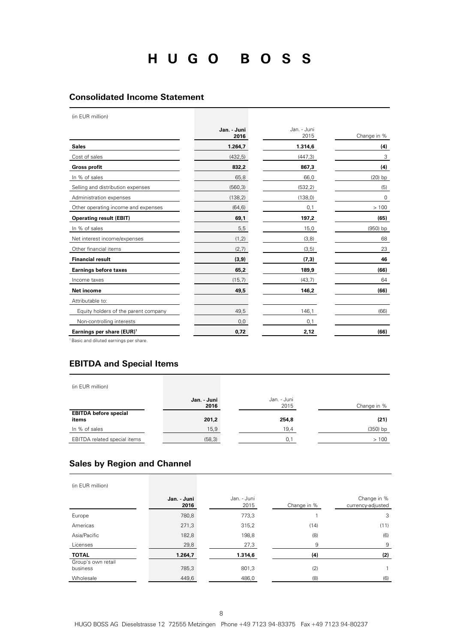#### **Consolidated Income Statement**

(in EUR million)

|                                       | Jan. - Juni<br>2016 | Jan. - Juni<br>2015 | Change in % |
|---------------------------------------|---------------------|---------------------|-------------|
| <b>Sales</b>                          | 1.264,7             | 1.314,6             | (4)         |
| Cost of sales                         | (432, 5)            | (447,3)             | 3           |
| <b>Gross profit</b>                   | 832,2               | 867,3               | (4)         |
| In % of sales                         | 65,8                | 66,0                | $(20)$ bp   |
| Selling and distribution expenses     | (560, 3)            | (532, 2)            | (5)         |
| Administration expenses               | (138, 2)            | (138, 0)            | $\mathbf 0$ |
| Other operating income and expenses   | (64, 6)             | 0,1                 | >100        |
| <b>Operating result (EBIT)</b>        | 69,1                | 197,2               | (65)        |
| In % of sales                         | 5,5                 | 15,0                | $(950)$ bp  |
| Net interest income/expenses          | (1, 2)              | (3,8)               | 68          |
| Other financial items                 | (2,7)               | (3,5)               | 23          |
| <b>Financial result</b>               | (3, 9)              | (7,3)               | 46          |
| <b>Earnings before taxes</b>          | 65,2                | 189,9               | (66)        |
| Income taxes                          | (15,7)              | (43,7)              | 64          |
| <b>Net income</b>                     | 49,5                | 146,2               | (66)        |
| Attributable to:                      |                     |                     |             |
| Equity holders of the parent company  | 49,5                | 146,1               | (66)        |
| Non-controlling interests             | 0,0                 | 0,1                 |             |
| Earnings per share (EUR) <sup>1</sup> | 0,72                | 2,12                | (66)        |

<sup>1</sup> Basic and diluted earnings per share.

#### **EBITDA and Special Items**

(in EUR million)

|                                       | Jan. - Juni<br>2016 | Jan. - Juni<br>2015 | Change in % |
|---------------------------------------|---------------------|---------------------|-------------|
| <b>EBITDA before special</b><br>items | 201,2               | 254,8               | (21)        |
| In % of sales                         | 15,9                | 19.4                | $(350)$ bp  |
| EBITDA related special items          | (58, 3)             | 0.1                 | >100        |

#### **Sales by Region and Channel**

| (in EUR million)               |                   |                     |             |                                  |
|--------------------------------|-------------------|---------------------|-------------|----------------------------------|
|                                | Jan. Juni<br>2016 | Jan. - Juni<br>2015 | Change in % | Change in %<br>currency-adjusted |
| Europe                         | 780,8             | 773,3               |             | 3                                |
| Americas                       | 271,3             | 315,2               | (14)        | (11)                             |
| Asia/Pacific                   | 182,8             | 198,8               | (8)         | (6)                              |
| Licenses                       | 29,8              | 27,3                | 9           | 9                                |
| <b>TOTAL</b>                   | 1.264,7           | 1.314,6             | (4)         | (2)                              |
| Group's own retail<br>business | 785,3             | 801,3               | (2)         |                                  |
| Wholesale                      | 449,6             | 486,0               | (8)         | (6)                              |